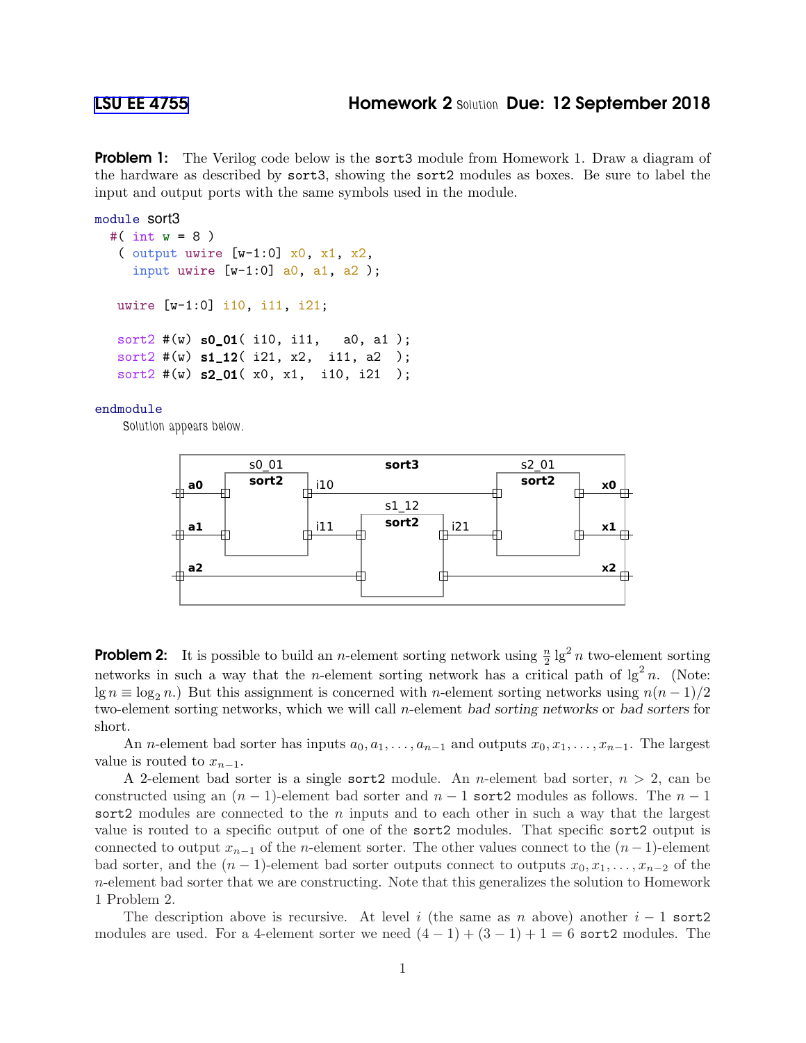**Problem 1:** The Verilog code below is the sort3 module from Homework 1. Draw a diagram of the hardware as described by sort3, showing the sort2 modules as boxes. Be sure to label the input and output ports with the same symbols used in the module.

```
module sort3
  #( int w = 8 )
   ( output uwire [w-1:0] x0, x1, x2,
     input uwire [v-1:0] a0, a1, a2);
  uwire [w-1:0] i10, i11, i21;
```

```
sort2 #(w) s0_01( i10, i11, a0, a1);
sort2 \#(w) s1_12( i21, x2, i11, a2);
sort2 \#(w) s2_01( x0, x1, i10, i21);
```
## endmodule

Solution appears below.



**Problem 2:** It is possible to build an *n*-element sorting network using  $\frac{n}{2}$  lg<sup>2</sup> *n* two-element sorting networks in such a way that the *n*-element sorting network has a critical path of  $\lg^2 n$ . (Note:  $\lg n \equiv \log_2 n$ .) But this assignment is concerned with n-element sorting networks using  $n(n-1)/2$ two-element sorting networks, which we will call n-element bad sorting networks or bad sorters for short.

An *n*-element bad sorter has inputs  $a_0, a_1, \ldots, a_{n-1}$  and outputs  $x_0, x_1, \ldots, x_{n-1}$ . The largest value is routed to  $x_{n-1}$ .

A 2-element bad sorter is a single sort 2 module. An *n*-element bad sorter,  $n > 2$ , can be constructed using an  $(n - 1)$ -element bad sorter and  $n - 1$  sort2 modules as follows. The  $n - 1$ sort2 modules are connected to the  $n$  inputs and to each other in such a way that the largest value is routed to a specific output of one of the sort2 modules. That specific sort2 output is connected to output  $x_{n-1}$  of the n-element sorter. The other values connect to the  $(n-1)$ -element bad sorter, and the  $(n-1)$ -element bad sorter outputs connect to outputs  $x_0, x_1, \ldots, x_{n-2}$  of the n-element bad sorter that we are constructing. Note that this generalizes the solution to Homework 1 Problem 2.

The description above is recursive. At level i (the same as n above) another  $i - 1$  sort2 modules are used. For a 4-element sorter we need  $(4-1) + (3-1) + 1 = 6$  sort2 modules. The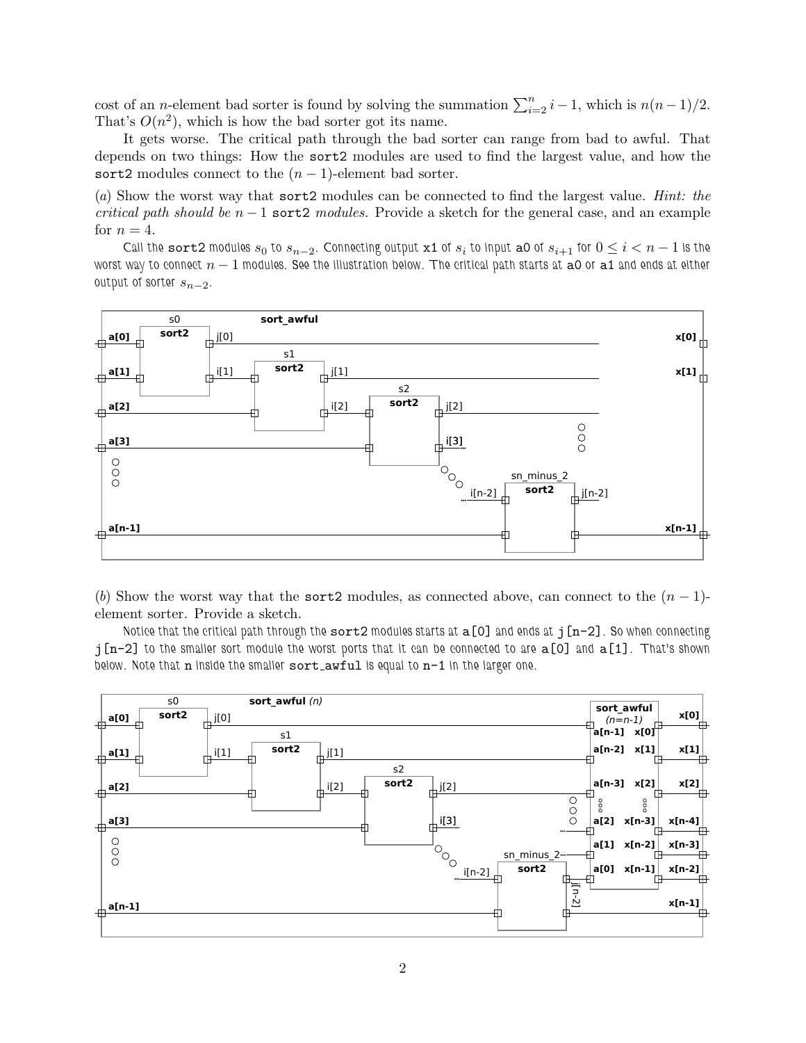cost of an n-element bad sorter is found by solving the summation  $\sum_{i=2}^{n} i - 1$ , which is  $n(n-1)/2$ . That's  $O(n^2)$ , which is how the bad sorter got its name.

It gets worse. The critical path through the bad sorter can range from bad to awful. That depends on two things: How the sort2 modules are used to find the largest value, and how the sort2 modules connect to the  $(n-1)$ -element bad sorter.

(*a*) Show the worst way that sort2 modules can be connected to find the largest value. *Hint: the critical path should be*  $n-1$  sort2 *modules.* Provide a sketch for the general case, and an example for  $n = 4$ .

Call the sort2 modules  $s_0$  to  $s_{n-2}$ . Connecting output x1 of  $s_i$  to input a0 of  $s_{i+1}$  for  $0 \le i < n-1$  is the worst way to connect  $n-1$  modules. See the illustration below. The critical path starts at a0 or a1 and ends at either output of sorter  $s_{n-2}$ .



(*b*) Show the worst way that the sort2 modules, as connected above, can connect to the  $(n-1)$ element sorter. Provide a sketch.

Notice that the critical path through the  $sort2$  modules starts at  $a[0]$  and ends at  $j[n-2]$ . So when connecting  $j[n-2]$  to the smaller sort module the worst ports that it can be connected to are  $a[0]$  and  $a[1]$ . That's shown below. Note that n inside the smaller sort\_awful is equal to n-1 in the larger one.